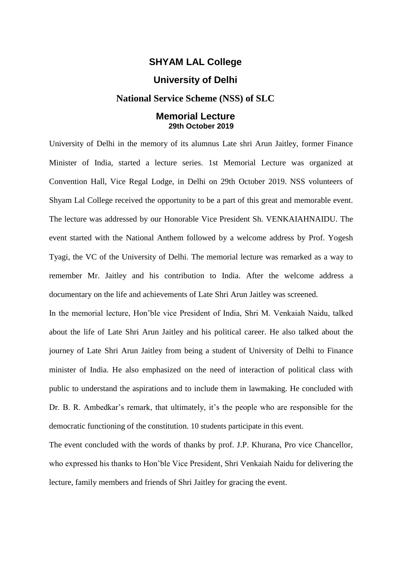## **SHYAM LAL College**

## **University of Delhi**

## **National Service Scheme (NSS) of SLC**

## **Memorial Lecture 29th October 2019**

University of Delhi in the memory of its alumnus Late shri Arun Jaitley, former Finance Minister of India, started a lecture series. 1st Memorial Lecture was organized at Convention Hall, Vice Regal Lodge, in Delhi on 29th October 2019. NSS volunteers of Shyam Lal College received the opportunity to be a part of this great and memorable event. The lecture was addressed by our Honorable Vice President Sh. VENKAIAHNAIDU. The event started with the National Anthem followed by a welcome address by Prof. Yogesh Tyagi, the VC of the University of Delhi. The memorial lecture was remarked as a way to remember Mr. Jaitley and his contribution to India. After the welcome address a documentary on the life and achievements of Late Shri Arun Jaitley was screened.

In the memorial lecture, Hon'ble vice President of India, Shri M. Venkaiah Naidu, talked about the life of Late Shri Arun Jaitley and his political career. He also talked about the journey of Late Shri Arun Jaitley from being a student of University of Delhi to Finance minister of India. He also emphasized on the need of interaction of political class with public to understand the aspirations and to include them in lawmaking. He concluded with Dr. B. R. Ambedkar's remark, that ultimately, it's the people who are responsible for the democratic functioning of the constitution. 10 students participate in this event.

The event concluded with the words of thanks by prof. J.P. Khurana, Pro vice Chancellor, who expressed his thanks to Hon'ble Vice President, Shri Venkaiah Naidu for delivering the lecture, family members and friends of Shri Jaitley for gracing the event.